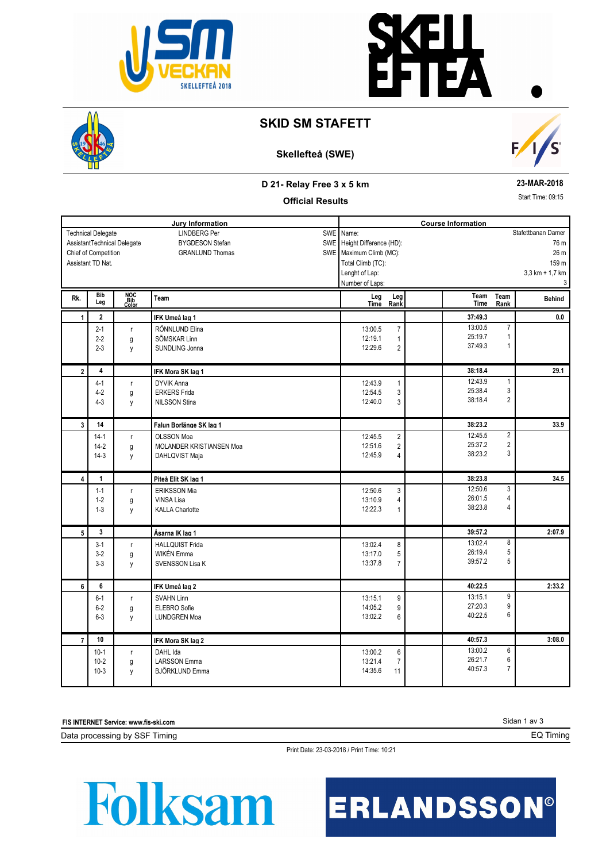



## **SKID SM STAFETT**

# **Skellefteå (SWE)**



#### **D 21- Relay Free 3 x 5 km**

#### **23-MAR-2018**

**Official Results**

Start Time: 09:15

**Jury Information Course Information** LINDBERG Per BYGDESON Stefan GRANLUND Thomas Technical Delegate Chief of Competition AssistantTechnical Delegate Assistant TD Nat. SWE SWE SWE Name: Height Difference (HD): Maximum Climb (MC): Total Climb (TC): Lenght of Lap: Number of Laps: 76 m 26 m 159 m 3,3 km + 1,7 km 3 Stafettbanan Damer **Rk. Bib Leg Team Team Time Behind Leg** Leg<br><u>Time</u> **Team Rank NOC Bib Color Leg Rank** 2-1 r RÖNNLUND Elina 13:00.5 7 2-2 g SÖMSKAR Linn 12:19.1 1<br>2-3 y SUNDLING Jonna 12:29.6 2 2-3 y SUNDLING Jonna  **1 2 IFK Umeå lag 1 37:49.3 0.0** 13:00.5 25:19.7 1 7 37:49.3 13:00.5 12:19.1  $12:29.6$  2 37:49.3 1 4-1 r DYVIK Anna 12:43.9 1 4-2 g ERKERS Frida 3 4-3 y NILSSON Stina 3  **2 4 IFK Mora SK lag 1 38:18.4 29.1** 12:43.9 25:38.4 3 1 38:18.4 12:43.9 12:54.5  $12:40.0 \t 3$  38:18.4 2 14-1 r OLSSON Moa 2 12:45.5 2 14-2 g MOLANDER KRISTIANSEN Moa 2 12:51.6 2 14-3 y DAHLQVIST Maja 2008 and 2012 12:45.9 4  **3 14 Falun Borlänge SK lag 1 38:23.2 33.9** 12:45.5 25:37.2 2 2 12:45.9 4 38:23.2 3 12:45.5 12:51.6 1-1 r ERIKSSON Mia 12:50.6 3 1-2 g | VINSA Lisa 4 and 2012 and 2013 and 2014 and 2014 and 2014 and 2014 and 2014 and 2014 and 201 1-3 y KALLA Charlotte 12:22.3 1  **4 1 Piteå Elit SK lag 1 38:23.8 34.5** 12:50.6 26:01.5 4 3 38:23.8 12:50.6 13:10.9 12:22.3 1 38:23.8 4 3-1 r HALLQUIST Frida 8 3-2 g WIKÉN Emma 5 3-3 | y | SVENSSON Lisa K | 13:37.8 7  **5 3 Åsarna IK lag 1 39:57.2 2:07.9** 13:02.4 26:19.4 5<br>39:57.2 5 8 39:57.2 13:02.4 13:17.0 13:37.8 5 6-1 r SVAHN Linn 9 315.1 9 6-2 g ELEBRO Sofie 2 3 and 30 and 31:05.2 9 6-3 y LUNDGREN Moa 6  **6 6 IFK Umeå lag 2 40:22.5 2:33.2** 13:15.1 27:20.3 9<br>40:22.5 6 9 40:22.5 13:02.2 6 13:15.1 14:05.2 10-1 r DAHL Ida 6 10-2 g LARSSON Emma 10-3 13:21.4 7<br>10-3 v BJÖRKI UND Emma 10-3 14:35.6 11 10-3 y BJÖRKLUND Emma 10-3 14:35.6 11  **7 10 IFK Mora SK lag 2 40:57.3 3:08.0** 13:00.2 26:21.7 6<br>40:57.3 7 6 40:57.3 14:35.6 7 13:00.2 13:21.4

**FIS INTERNET Service: www.fis-ski.com**

Data processing by SSF Timing

Print Date: 23-03-2018 / Print Time: 10:21

# **Folksam**

ERLANDSSON®

Sidan 1 av 3

EQ Timing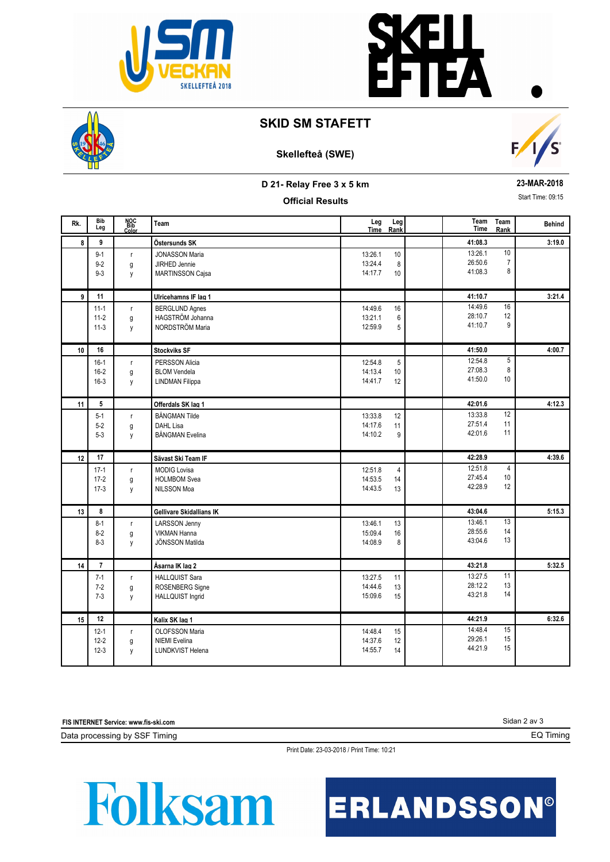



## **SKID SM STAFETT**

#### **Skellefteå (SWE)**



**D 21- Relay Free 3 x 5 km**

#### **Official Results**

**23-MAR-2018**

Start Time: 09:15

| Rk. | <b>Bib</b><br>Leg                | NOC<br>Bib<br>Color    | Team                                                                     | Leg<br>Time                   | Leg<br>Rank                | Team<br>Time                  | Team<br>Rank               | <b>Behind</b> |
|-----|----------------------------------|------------------------|--------------------------------------------------------------------------|-------------------------------|----------------------------|-------------------------------|----------------------------|---------------|
| 8   | 9                                |                        | Östersunds SK                                                            |                               |                            | 41:08.3                       |                            | 3:19.0        |
|     | $9 - 1$<br>$9 - 2$<br>$9 - 3$    | $\mathsf{r}$<br>g<br>y | <b>JONASSON Maria</b><br><b>JIRHED Jennie</b><br><b>MARTINSSON Cajsa</b> | 13:26.1<br>13:24.4<br>14:17.7 | 10<br>8<br>10              | 13:26.1<br>26:50.6<br>41:08.3 | 10<br>$\overline{7}$<br>8  |               |
| 9   | 11                               |                        | Ulricehamns IF lag 1                                                     |                               |                            | 41:10.7                       |                            | 3:21.4        |
|     | $11 - 1$<br>$11-2$<br>$11-3$     | $\mathsf{r}$<br>g<br>y | <b>BERGLUND Agnes</b><br>HAGSTRÖM Johanna<br>NORDSTRÖM Maria             | 14:49.6<br>13:21.1<br>12:59.9 | 16<br>6<br>5               | 14:49.6<br>28:10.7<br>41:10.7 | 16<br>12<br>9              |               |
| 10  | 16                               |                        | <b>Stockviks SF</b>                                                      |                               |                            | 41:50.0                       |                            | 4:00.7        |
|     | $16-1$<br>$16-2$<br>$16-3$       | $\mathsf{r}$<br>g<br>у | PERSSON Alicia<br><b>BLOM Vendela</b><br><b>LINDMAN Filippa</b>          | 12:54.8<br>14:13.4<br>14:41.7 | $\overline{5}$<br>10<br>12 | 12:54.8<br>27:08.3<br>41:50.0 | 5<br>8<br>10               |               |
| 11  | 5                                |                        | Offerdals SK lag 1                                                       |                               |                            | 42:01.6                       |                            | 4:12.3        |
|     | $5 - 1$<br>$5 - 2$<br>$5 - 3$    | $\mathsf{r}$<br>g<br>y | <b>BÅNGMAN Tilde</b><br>DAHL Lisa<br><b>BÅNGMAN Evelina</b>              | 13:33.8<br>14:17.6<br>14:10.2 | 12<br>11<br>9              | 13:33.8<br>27:51.4<br>42:01.6 | 12<br>11<br>11             |               |
| 12  | 17                               |                        | Sävast Ski Team IF                                                       |                               |                            | 42:28.9                       |                            | 4:39.6        |
|     | $17-1$<br>$17-2$<br>$17-3$       | $\mathsf{r}$<br>g<br>у | <b>MODIG Lovisa</b><br><b>HOLMBOM Svea</b><br>NILSSON Moa                | 12:51.8<br>14:53.5<br>14:43.5 | $\overline{4}$<br>14<br>13 | 12:51.8<br>27:45.4<br>42:28.9 | $\overline{4}$<br>10<br>12 |               |
| 13  | 8                                |                        | Gellivare Skidallians IK                                                 |                               |                            | 43:04.6                       |                            | 5:15.3        |
|     | $8 - 1$<br>$8 - 2$<br>$8 - 3$    | $\mathsf{r}$<br>g<br>у | LARSSON Jenny<br><b>VIKMAN Hanna</b><br>JÖNSSON Matilda                  | 13:46.1<br>15:09.4<br>14:08.9 | 13<br>16<br>8              | 13:46.1<br>28:55.6<br>43:04.6 | 13<br>14<br>13             |               |
| 14  | $\overline{7}$                   |                        | Åsarna IK lag 2                                                          |                               |                            | 43:21.8                       |                            | 5:32.5        |
|     | $7 - 1$<br>$7-2$<br>$7 - 3$      | r<br>g<br>y            | <b>HALLQUIST Sara</b><br>ROSENBERG Signe<br>HALLQUIST Ingrid             | 13:27.5<br>14:44.6<br>15:09.6 | 11<br>13<br>15             | 13:27.5<br>28:12.2<br>43:21.8 | 11<br>13<br>14             |               |
| 15  | 12                               |                        | Kalix SK lag 1                                                           |                               |                            | 44:21.9                       |                            | 6:32.6        |
|     | $12 - 1$<br>$12 - 2$<br>$12 - 3$ | $\mathsf{r}$<br>g<br>y | OLOFSSON Maria<br><b>NIEMI</b> Evelina<br><b>LUNDKVIST Helena</b>        | 14:48.4<br>14:37.6<br>14:55.7 | 15<br>12<br>14             | 14:48.4<br>29:26.1<br>44:21.9 | 15<br>15<br>15             |               |

**FIS INTERNET Service: www.fis-ski.com**

Data processing by SSF Timing

Print Date: 23-03-2018 / Print Time: 10:21

Folksam

ERLANDSSON®

Sidan 2 av 3

EQ Timing